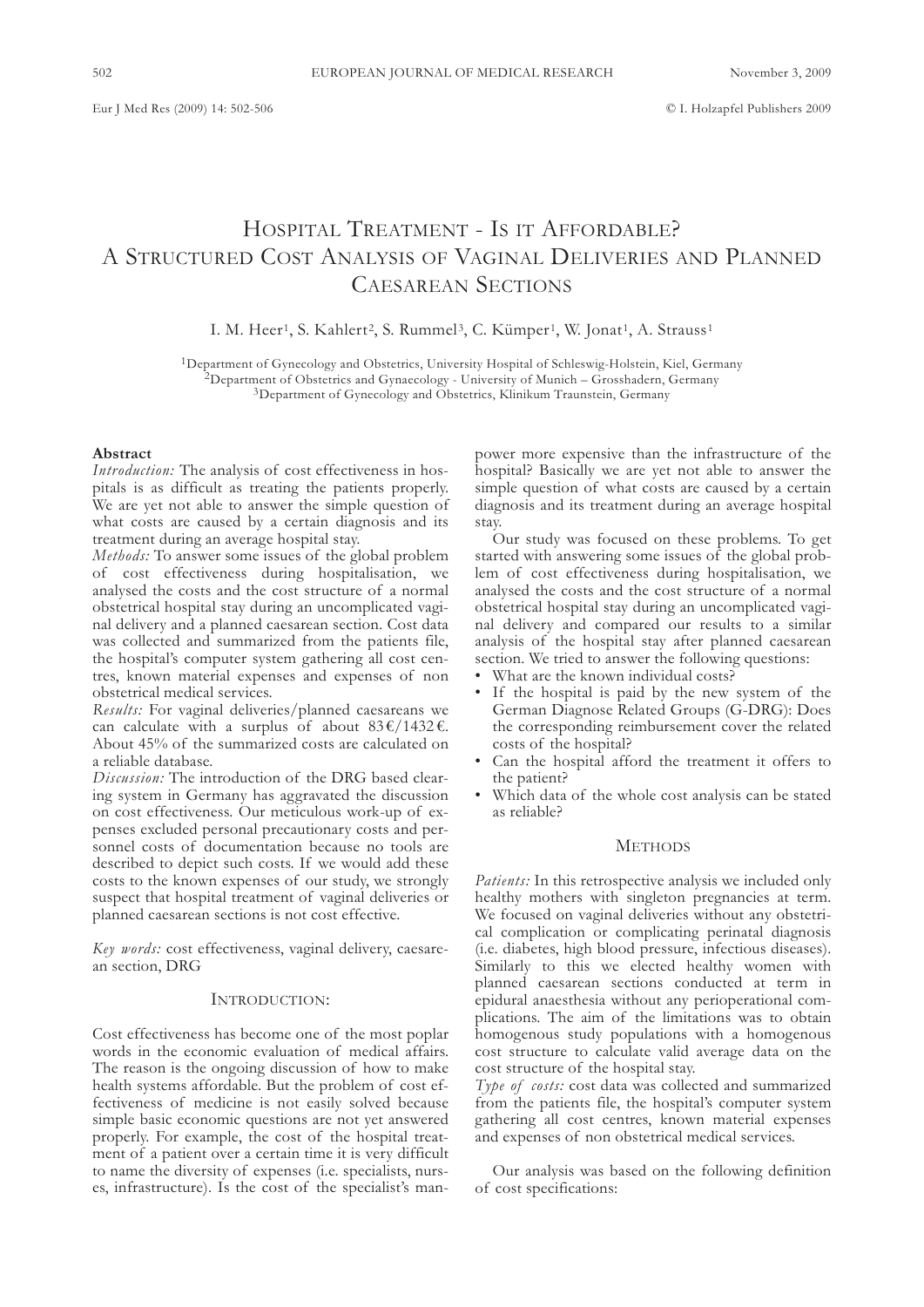# HOSPITAL TREATMENT - IS IT AFFORDABLE? A STRUCTURED COST ANALYSIS OF VAGINAL DELIVERIES AND PLANNED CAESAREAN SECTIONS

I. M. Heer<sup>1</sup>, S. Kahlert<sup>2</sup>, S. Rummel<sup>3</sup>, C. Kümper<sup>1</sup>, W. Jonat<sup>1</sup>, A. Strauss<sup>1</sup>

1Department of Gynecology and Obstetrics, University Hospital of Schleswig-Holstein, Kiel, Germany  $^2$ Department of Obstetrics and Gynaecology - University of Munich – Grosshadern, Germany 3Department of Gynecology and Obstetrics, Klinikum Traunstein, Germany

#### **Abstract**

*Introduction:* The analysis of cost effectiveness in hospitals is as difficult as treating the patients properly. We are yet not able to answer the simple question of what costs are caused by a certain diagnosis and its treatment during an average hospital stay.

*Methods:* To answer some issues of the global problem of cost effectiveness during hospitalisation, we analysed the costs and the cost structure of a normal obstetrical hospital stay during an uncomplicated vaginal delivery and a planned caesarean section. Cost data was collected and summarized from the patients file, the hospital's computer system gathering all cost centres, known material expenses and expenses of non obstetrical medical services.

*Results:* For vaginal deliveries/planned caesareans we can calculate with a surplus of about  $83 \cdot \frac{\ell}{1432}$ . About 45% of the summarized costs are calculated on a reliable database.

*Discussion:* The introduction of the DRG based clearing system in Germany has aggravated the discussion on cost effectiveness. Our meticulous work-up of expenses excluded personal precautionary costs and personnel costs of documentation because no tools are described to depict such costs. If we would add these costs to the known expenses of our study, we strongly suspect that hospital treatment of vaginal deliveries or planned caesarean sections is not cost effective.

*Key words:* cost effectiveness, vaginal delivery, caesarean section, DRG

#### INTRODUCTION:

Cost effectiveness has become one of the most poplar words in the economic evaluation of medical affairs. The reason is the ongoing discussion of how to make health systems affordable. But the problem of cost effectiveness of medicine is not easily solved because simple basic economic questions are not yet answered properly. For example, the cost of the hospital treatment of a patient over a certain time it is very difficult to name the diversity of expenses (i.e. specialists, nurses, infrastructure). Is the cost of the specialist's manpower more expensive than the infrastructure of the hospital? Basically we are yet not able to answer the simple question of what costs are caused by a certain diagnosis and its treatment during an average hospital stay.

Our study was focused on these problems. To get started with answering some issues of the global problem of cost effectiveness during hospitalisation, we analysed the costs and the cost structure of a normal obstetrical hospital stay during an uncomplicated vaginal delivery and compared our results to a similar analysis of the hospital stay after planned caesarean section. We tried to answer the following questions:

- What are the known individual costs?
- If the hospital is paid by the new system of the German Diagnose Related Groups (G-DRG): Does the corresponding reimbursement cover the related costs of the hospital?
- Can the hospital afford the treatment it offers to the patient?
- Which data of the whole cost analysis can be stated as reliable?

## **METHODS**

*Patients:* In this retrospective analysis we included only healthy mothers with singleton pregnancies at term. We focused on vaginal deliveries without any obstetrical complication or complicating perinatal diagnosis (i.e. diabetes, high blood pressure, infectious diseases). Similarly to this we elected healthy women with planned caesarean sections conducted at term in epidural anaesthesia without any perioperational complications. The aim of the limitations was to obtain homogenous study populations with a homogenous cost structure to calculate valid average data on the cost structure of the hospital stay.

*Type of costs:* cost data was collected and summarized from the patients file, the hospital's computer system gathering all cost centres, known material expenses and expenses of non obstetrical medical services.

Our analysis was based on the following definition of cost specifications: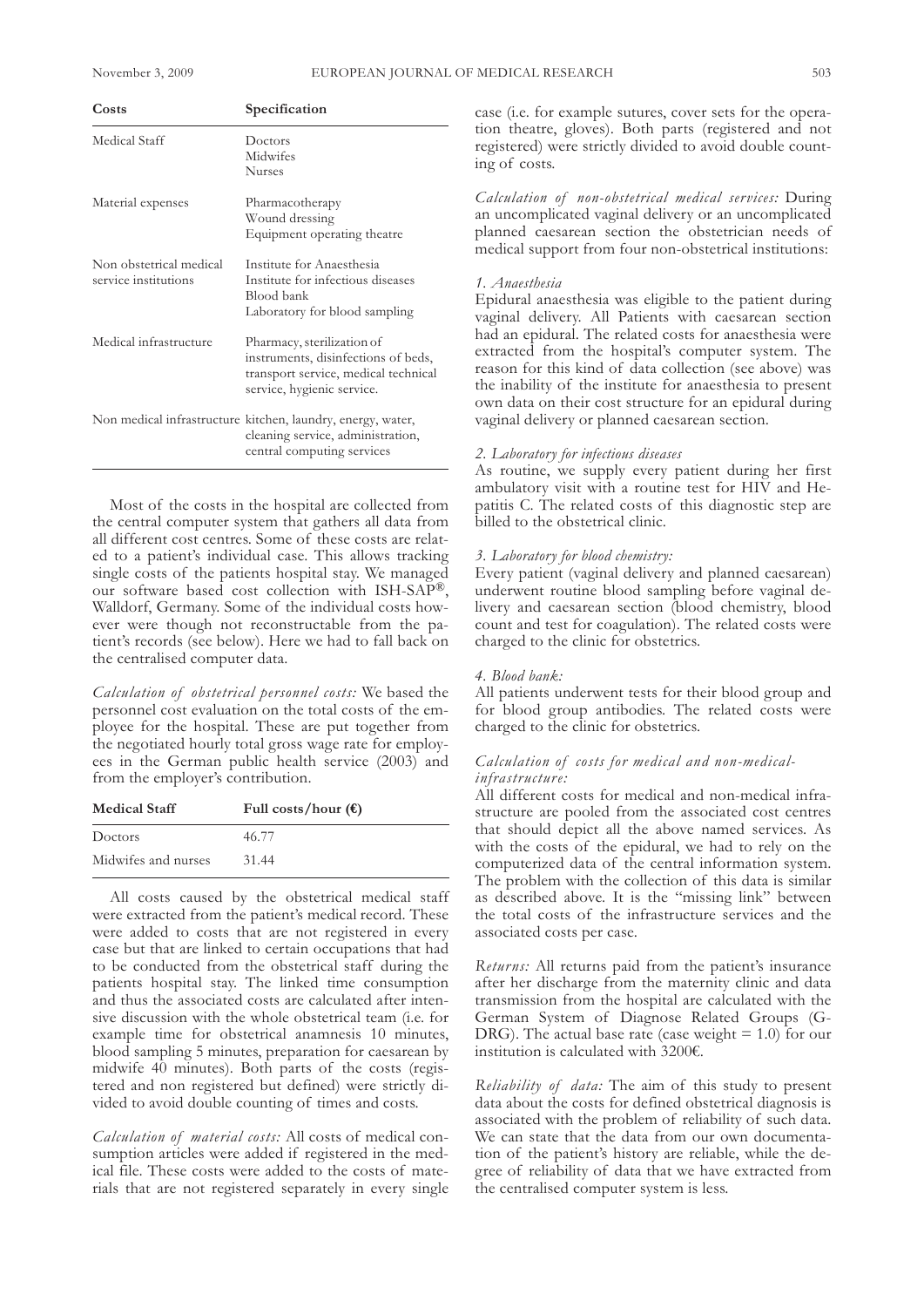| Specification                                                                                                                           |
|-----------------------------------------------------------------------------------------------------------------------------------------|
| Doctors<br>Midwifes<br><b>Nurses</b>                                                                                                    |
| Pharmacotherapy<br>Wound dressing<br>Equipment operating theatre                                                                        |
| Institute for Anaesthesia<br>Institute for infectious diseases<br>Blood bank<br>Laboratory for blood sampling                           |
| Pharmacy, sterilization of<br>instruments, disinfections of beds,<br>transport service, medical technical<br>service, hygienic service. |
| Non medical infrastructure kitchen, laundry, energy, water,<br>cleaning service, administration,<br>central computing services          |
|                                                                                                                                         |

Most of the costs in the hospital are collected from the central computer system that gathers all data from all different cost centres. Some of these costs are related to a patient's individual case. This allows tracking single costs of the patients hospital stay. We managed our software based cost collection with ISH-SAP®, Walldorf, Germany. Some of the individual costs however were though not reconstructable from the patient's records (see below). Here we had to fall back on the centralised computer data.

*Calculation of obstetrical personnel costs:* We based the personnel cost evaluation on the total costs of the employee for the hospital. These are put together from the negotiated hourly total gross wage rate for employees in the German public health service (2003) and from the employer's contribution.

| <b>Medical Staff</b> | Full costs/hour $(\epsilon)$ |
|----------------------|------------------------------|
| Doctors              | 46.77                        |
| Midwifes and nurses  | 31.44                        |

All costs caused by the obstetrical medical staff were extracted from the patient's medical record. These were added to costs that are not registered in every case but that are linked to certain occupations that had to be conducted from the obstetrical staff during the patients hospital stay. The linked time consumption and thus the associated costs are calculated after intensive discussion with the whole obstetrical team (i.e. for example time for obstetrical anamnesis 10 minutes, blood sampling 5 minutes, preparation for caesarean by midwife 40 minutes). Both parts of the costs (registered and non registered but defined) were strictly divided to avoid double counting of times and costs.

*Calculation of material costs:* All costs of medical consumption articles were added if registered in the medical file. These costs were added to the costs of materials that are not registered separately in every single

case (i.e. for example sutures, cover sets for the operation theatre, gloves). Both parts (registered and not registered) were strictly divided to avoid double counting of costs.

*Calculation of non-obstetrical medical ser vices:* During an uncomplicated vaginal delivery or an uncomplicated planned caesarean section the obstetrician needs of medical support from four non-obstetrical institutions:

#### *1. Anaesthesia*

Epidural anaesthesia was eligible to the patient during vaginal delivery. All Patients with caesarean section had an epidural. The related costs for anaesthesia were extracted from the hospital's computer system. The reason for this kind of data collection (see above) was the inability of the institute for anaesthesia to present own data on their cost structure for an epidural during vaginal delivery or planned caesarean section.

# *2. Laboratory for infectious diseases*

As routine, we supply every patient during her first ambulatory visit with a routine test for HIV and Hepatitis C. The related costs of this diagnostic step are billed to the obstetrical clinic.

#### *3. Laboratory for blood chemistry:*

Every patient (vaginal delivery and planned caesarean) underwent routine blood sampling before vaginal delivery and caesarean section (blood chemistry, blood count and test for coagulation). The related costs were charged to the clinic for obstetrics.

#### *4. Blood bank:*

All patients underwent tests for their blood group and for blood group antibodies. The related costs were charged to the clinic for obstetrics.

## *Calculation of costs for medical and non-medicalinfrastructure:*

All different costs for medical and non-medical infrastructure are pooled from the associated cost centres that should depict all the above named services. As with the costs of the epidural, we had to rely on the computerized data of the central information system. The problem with the collection of this data is similar as described above. It is the "missing link" between the total costs of the infrastructure services and the associated costs per case.

*Returns:* All returns paid from the patient's insurance after her discharge from the maternity clinic and data transmission from the hospital are calculated with the German System of Diagnose Related Groups (G-DRG). The actual base rate (case weight  $= 1.0$ ) for our institution is calculated with 3200€.

*Reliability of data:* The aim of this study to present data about the costs for defined obstetrical diagnosis is associated with the problem of reliability of such data. We can state that the data from our own documentation of the patient's history are reliable, while the degree of reliability of data that we have extracted from the centralised computer system is less.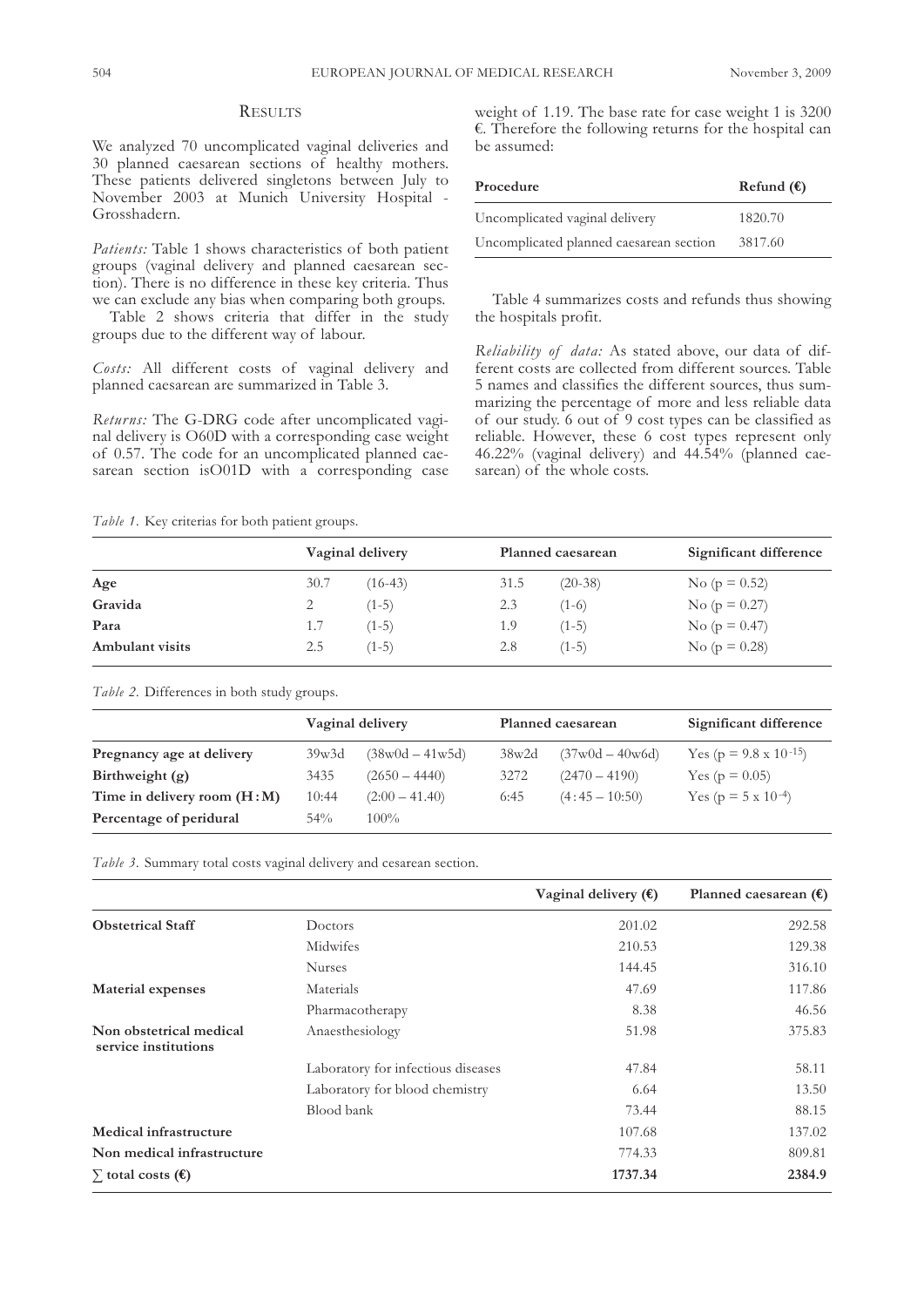# **RESULTS**

We analyzed 70 uncomplicated vaginal deliveries and 30 planned caesarean sections of healthy mothers. These patients delivered singletons between July to November 2003 at Munich University Hospital - Grosshadern.

*Patients:* Table 1 shows characteristics of both patient groups (vaginal delivery and planned caesarean section). There is no difference in these key criteria. Thus we can exclude any bias when comparing both groups.

Table 2 shows criteria that differ in the study groups due to the different way of labour.

*Costs:* All different costs of vaginal delivery and planned caesarean are summarized in Table 3.

*Returns:* The G-DRG code after uncomplicated vaginal delivery is O60D with a corresponding case weight of 0.57. The code for an uncomplicated planned caesarean section isO01D with a corresponding case

*Table 1.* Key criterias for both patient groups.

weight of 1.19. The base rate for case weight 1 is 3200 €. Therefore the following returns for the hospital can be assumed:

| Procedure                               | Refund $(\epsilon)$ |
|-----------------------------------------|---------------------|
| Uncomplicated vaginal delivery          | 1820.70             |
| Uncomplicated planned caesarean section | 3817.60             |

Table 4 summarizes costs and refunds thus showing the hospitals profit.

*Reliability of data:* As stated above, our data of different costs are collected from different sources. Table 5 names and classifies the different sources, thus summarizing the percentage of more and less reliable data of our study. 6 out of 9 cost types can be classified as reliable. However, these 6 cost types represent only 46.22% (vaginal delivery) and 44.54% (planned caesarean) of the whole costs.

|                 |      | Vaginal delivery |      | Planned caesarean | Significant difference |
|-----------------|------|------------------|------|-------------------|------------------------|
| Age             | 30.7 | $(16-43)$        | 31.5 | $(20-38)$         | No ( $p = 0.52$ )      |
| Gravida         |      | $(1-5)$          | 2.3  | $(1-6)$           | No ( $p = 0.27$ )      |
| Para            | 1.7  | $(1-5)$          | 1.9  | $(1-5)$           | No ( $p = 0.47$ )      |
| Ambulant visits | 2.5  | $(1-5)$          | 2.8  | $(1-5)$           | No ( $p = 0.28$ )      |

*Table 2.* Differences in both study groups.

|                               | Vaginal delivery |                                   | Planned caesarean |                                   | Significant difference            |  |
|-------------------------------|------------------|-----------------------------------|-------------------|-----------------------------------|-----------------------------------|--|
| Pregnancy age at delivery     | 39w3d            | $(38 \text{w0d} - 41 \text{w5d})$ | 38w2d             | $(37 \text{w0d} - 40 \text{w6d})$ | Yes ( $p = 9.8 \times 10^{-15}$ ) |  |
| Birthweight $(g)$             | 3435             | $(2650 - 4440)$                   | 3272              | $(2470 - 4190)$                   | Yes ( $p = 0.05$ )                |  |
| Time in delivery room $(H:M)$ | 10:44            | $(2:00 - 41.40)$                  | 6:45              | $(4:45 - 10:50)$                  | Yes ( $p = 5 \times 10^{-4}$ )    |  |
| Percentage of peridural       | $54\%$           | $100\%$                           |                   |                                   |                                   |  |

*Table 3.* Summary total costs vaginal delivery and cesarean section.

|                                                 |                                    | Vaginal delivery $(\epsilon)$ | Planned caesarean $(\epsilon)$ |
|-------------------------------------------------|------------------------------------|-------------------------------|--------------------------------|
| <b>Obstetrical Staff</b>                        | Doctors                            | 201.02                        | 292.58                         |
|                                                 | Midwifes                           | 210.53                        | 129.38                         |
|                                                 | <b>Nurses</b>                      | 144.45                        | 316.10                         |
| Material expenses                               | Materials                          | 47.69                         | 117.86                         |
|                                                 | Pharmacotherapy                    | 8.38                          | 46.56                          |
| Non obstetrical medical<br>service institutions | Anaesthesiology                    | 51.98                         | 375.83                         |
|                                                 | Laboratory for infectious diseases | 47.84                         | 58.11                          |
|                                                 | Laboratory for blood chemistry     | 6.64                          | 13.50                          |
|                                                 | Blood bank                         | 73.44                         | 88.15                          |
| Medical infrastructure                          |                                    | 107.68                        | 137.02                         |
| Non medical infrastructure                      |                                    | 774.33                        | 809.81                         |
| $\sum$ total costs ( $\epsilon$ )               |                                    | 1737.34                       | 2384.9                         |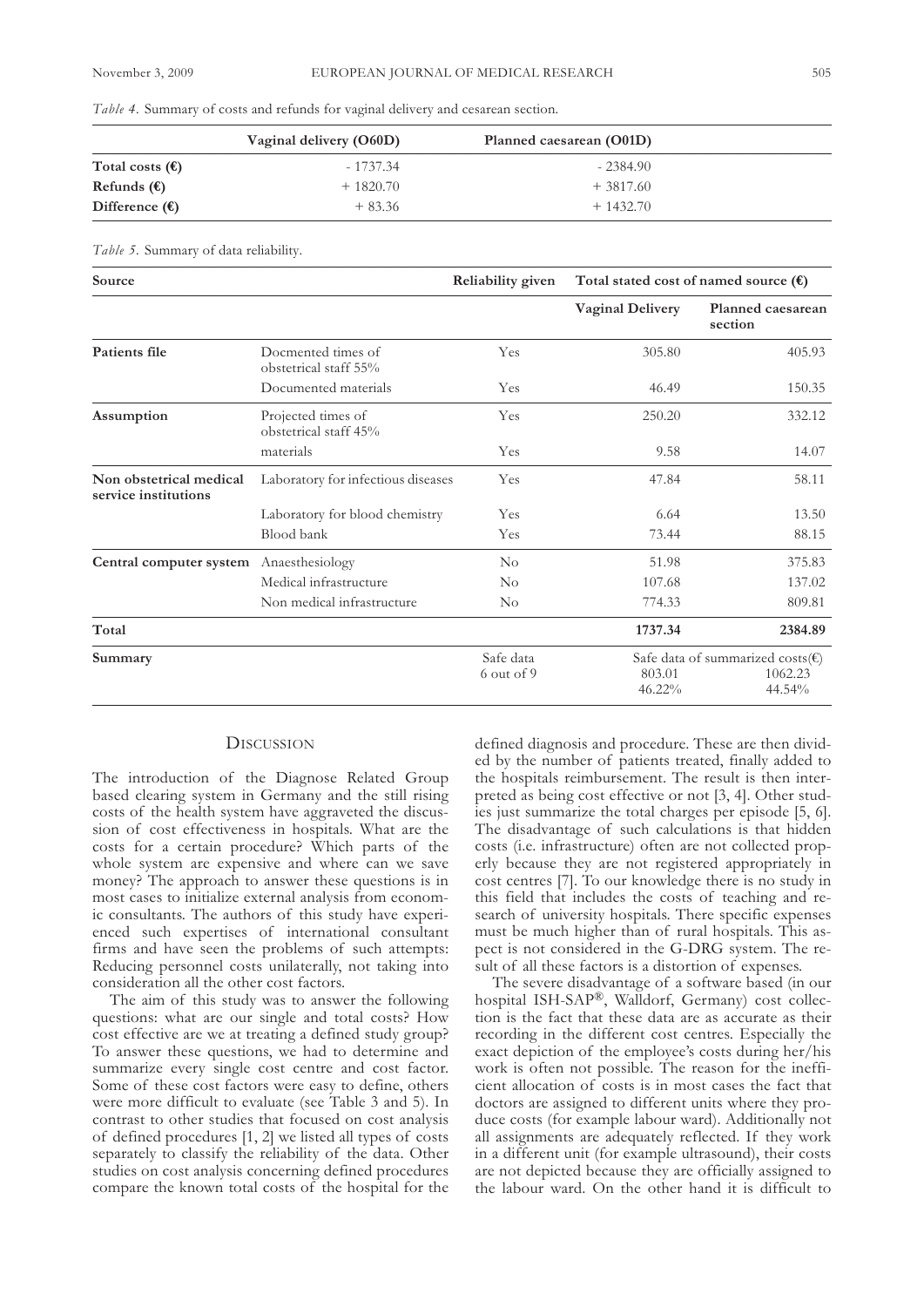|  |  |  | Table 4. Summary of costs and refunds for vaginal delivery and cesarean section. |
|--|--|--|----------------------------------------------------------------------------------|
|  |  |  |                                                                                  |

|                          | Vaginal delivery (O60D) | Planned caesarean (O01D) |  |
|--------------------------|-------------------------|--------------------------|--|
| Total costs $(\epsilon)$ | $-1737.34$              | $-2384.90$               |  |
| Refunds $(\epsilon)$     | $+1820.70$              | $+3817.60$               |  |
| Difference $(\epsilon)$  | $+83.36$                | $+1432.70$               |  |

*Table 5.* Summary of data reliability.

| Source                                          |                                             | Reliability given         | Total stated cost of named source $(\epsilon)$ |                                                                  |
|-------------------------------------------------|---------------------------------------------|---------------------------|------------------------------------------------|------------------------------------------------------------------|
|                                                 |                                             |                           | <b>Vaginal Delivery</b>                        | Planned caesarean<br>section                                     |
| Patients file                                   | Docmented times of<br>obstetrical staff 55% | Yes                       | 305.80                                         | 405.93                                                           |
|                                                 | Documented materials                        | Yes                       | 46.49                                          | 150.35                                                           |
| Assumption                                      | Projected times of<br>obstetrical staff 45% | Yes                       | 250.20                                         | 332.12                                                           |
|                                                 | materials                                   | Yes                       | 9.58                                           | 14.07                                                            |
| Non obstetrical medical<br>service institutions | Laboratory for infectious diseases          | Yes                       | 47.84                                          | 58.11                                                            |
|                                                 | Laboratory for blood chemistry              | Yes                       | 6.64                                           | 13.50                                                            |
|                                                 | Blood bank                                  | Yes                       | 73.44                                          | 88.15                                                            |
| Central computer system                         | Anaesthesiology                             | $\rm No$                  | 51.98                                          | 375.83                                                           |
|                                                 | Medical infrastructure                      | $\rm No$                  | 107.68                                         | 137.02                                                           |
|                                                 | Non medical infrastructure                  | $\rm No$                  | 774.33                                         | 809.81                                                           |
| Total                                           |                                             |                           | 1737.34                                        | 2384.89                                                          |
| Summary                                         |                                             | Safe data<br>$6$ out of 9 | 803.01<br>46.22%                               | Safe data of summarized costs( $\epsilon$ )<br>1062.23<br>44.54% |

# **DISCUSSION**

The introduction of the Diagnose Related Group based clearing system in Germany and the still rising costs of the health system have aggraveted the discussion of cost effectiveness in hospitals. What are the costs for a certain procedure? Which parts of the whole system are expensive and where can we save money? The approach to answer these questions is in most cases to initialize external analysis from economic consultants. The authors of this study have experienced such expertises of international consultant firms and have seen the problems of such attempts: Reducing personnel costs unilaterally, not taking into consideration all the other cost factors.

The aim of this study was to answer the following questions: what are our single and total costs? How cost effective are we at treating a defined study group? To answer these questions, we had to determine and summarize every single cost centre and cost factor. Some of these cost factors were easy to define, others were more difficult to evaluate (see Table 3 and 5). In contrast to other studies that focused on cost analysis of defined procedures [1, 2] we listed all types of costs separately to classify the reliability of the data. Other studies on cost analysis concerning defined procedures compare the known total costs of the hospital for the

defined diagnosis and procedure. These are then divided by the number of patients treated, finally added to the hospitals reimbursement. The result is then interpreted as being cost effective or not [3, 4]. Other studies just summarize the total charges per episode [5, 6]. The disadvantage of such calculations is that hidden costs (i.e. infrastructure) often are not collected properly because they are not registered appropriately in cost centres [7]. To our knowledge there is no study in this field that includes the costs of teaching and research of university hospitals. There specific expenses must be much higher than of rural hospitals. This aspect is not considered in the G-DRG system. The result of all these factors is a distortion of expenses.

The severe disadvantage of a software based (in our hospital ISH-SAP®, Walldorf, Germany) cost collection is the fact that these data are as accurate as their recording in the different cost centres. Especially the exact depiction of the employee's costs during her/his work is often not possible. The reason for the inefficient allocation of costs is in most cases the fact that doctors are assigned to different units where they produce costs (for example labour ward). Additionally not all assignments are adequately reflected. If they work in a different unit (for example ultrasound), their costs are not depicted because they are officially assigned to the labour ward. On the other hand it is difficult to